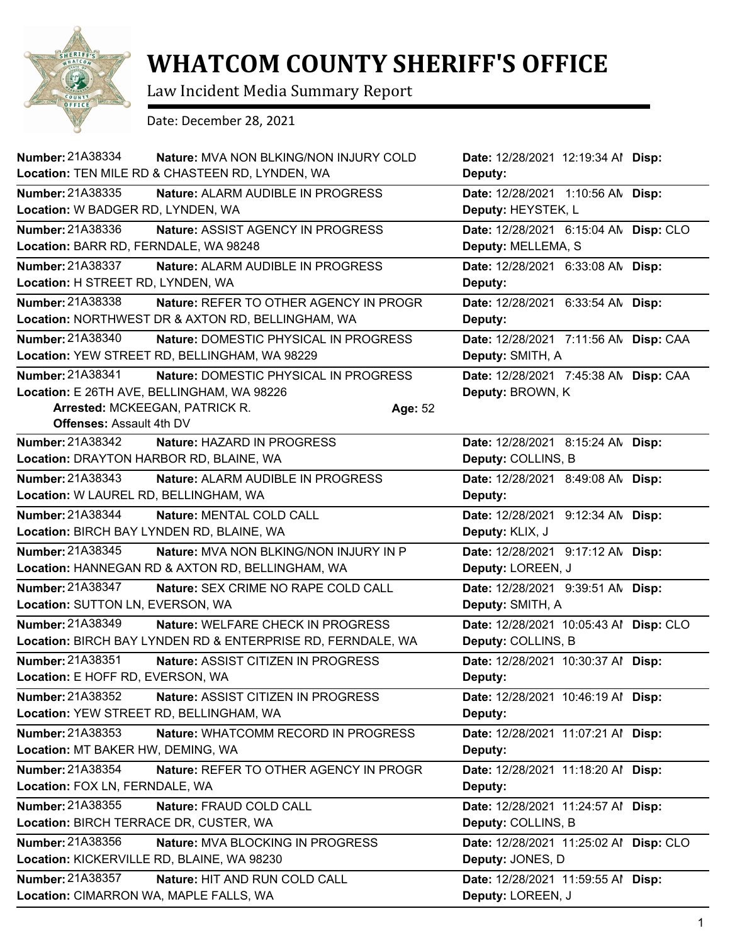

## **WHATCOM COUNTY SHERIFF'S OFFICE**

Law Incident Media Summary Report

Date: December 28, 2021

| Number: 21A38334                                                                                      | <b>Nature: MVA NON BLKING/NON INJURY COLD</b><br>Location: TEN MILE RD & CHASTEEN RD, LYNDEN, WA |         | Date: 12/28/2021 12:19:34 Al Disp:<br>Deputy:                |  |
|-------------------------------------------------------------------------------------------------------|--------------------------------------------------------------------------------------------------|---------|--------------------------------------------------------------|--|
| Number: 21A38335<br>Location: W BADGER RD, LYNDEN, WA                                                 | Nature: ALARM AUDIBLE IN PROGRESS                                                                |         | Date: 12/28/2021 1:10:56 AN Disp:<br>Deputy: HEYSTEK, L      |  |
| Number: 21A38336<br>Location: BARR RD, FERNDALE, WA 98248                                             | Nature: ASSIST AGENCY IN PROGRESS                                                                |         | Date: 12/28/2021 6:15:04 AN Disp: CLO<br>Deputy: MELLEMA, S  |  |
| Number: 21A38337<br>Location: H STREET RD, LYNDEN, WA                                                 | Nature: ALARM AUDIBLE IN PROGRESS                                                                |         | Date: 12/28/2021 6:33:08 AN Disp:<br>Deputy:                 |  |
| Number: 21A38338                                                                                      | Nature: REFER TO OTHER AGENCY IN PROGR<br>Location: NORTHWEST DR & AXTON RD, BELLINGHAM, WA      |         | Date: 12/28/2021 6:33:54 AN Disp:<br>Deputy:                 |  |
| Number: 21A38340                                                                                      | Nature: DOMESTIC PHYSICAL IN PROGRESS<br>Location: YEW STREET RD, BELLINGHAM, WA 98229           |         | Date: 12/28/2021 7:11:56 AN Disp: CAA<br>Deputy: SMITH, A    |  |
| Number: 21A38341<br>Location: E 26TH AVE, BELLINGHAM, WA 98226<br>Arrested: MCKEEGAN, PATRICK R.      | Nature: DOMESTIC PHYSICAL IN PROGRESS                                                            | Age: 52 | Date: 12/28/2021 7:45:38 AN Disp: CAA<br>Deputy: BROWN, K    |  |
| <b>Offenses: Assault 4th DV</b><br><b>Number: 21A38342</b><br>Location: DRAYTON HARBOR RD, BLAINE, WA | Nature: HAZARD IN PROGRESS                                                                       |         | Date: 12/28/2021 8:15:24 AN Disp:<br>Deputy: COLLINS, B      |  |
| Number: 21A38343<br>Location: W LAUREL RD, BELLINGHAM, WA                                             | Nature: ALARM AUDIBLE IN PROGRESS                                                                |         | Date: 12/28/2021 8:49:08 AN Disp:<br>Deputy:                 |  |
| Number: 21A38344<br>Location: BIRCH BAY LYNDEN RD, BLAINE, WA                                         | Nature: MENTAL COLD CALL                                                                         |         | Date: 12/28/2021 9:12:34 AN Disp:<br>Deputy: KLIX, J         |  |
| Number: 21A38345                                                                                      | Nature: MVA NON BLKING/NON INJURY IN P<br>Location: HANNEGAN RD & AXTON RD, BELLINGHAM, WA       |         | Date: 12/28/2021 9:17:12 AN Disp:<br>Deputy: LOREEN, J       |  |
| Number: 21A38347<br>Location: SUTTON LN, EVERSON, WA                                                  | Nature: SEX CRIME NO RAPE COLD CALL                                                              |         | Date: 12/28/2021 9:39:51 AN Disp:<br>Deputy: SMITH, A        |  |
| Number: 21A38349                                                                                      | Nature: WELFARE CHECK IN PROGRESS<br>Location: BIRCH BAY LYNDEN RD & ENTERPRISE RD, FERNDALE, WA |         | Date: 12/28/2021 10:05:43 Al Disp: CLO<br>Deputy: COLLINS, B |  |
| Number: 21A38351<br>Location: E HOFF RD, EVERSON, WA                                                  | Nature: ASSIST CITIZEN IN PROGRESS                                                               |         | Date: 12/28/2021 10:30:37 Al Disp:<br>Deputy:                |  |
| Number: 21A38352<br>Location: YEW STREET RD, BELLINGHAM, WA                                           | Nature: ASSIST CITIZEN IN PROGRESS                                                               |         | Date: 12/28/2021 10:46:19 Al Disp:<br>Deputy:                |  |
| Number: 21A38353<br>Location: MT BAKER HW, DEMING, WA                                                 | Nature: WHATCOMM RECORD IN PROGRESS                                                              |         | Date: 12/28/2021 11:07:21 Al Disp:<br>Deputy:                |  |
| Number: 21A38354<br>Location: FOX LN, FERNDALE, WA                                                    | Nature: REFER TO OTHER AGENCY IN PROGR                                                           |         | Date: 12/28/2021 11:18:20 Al Disp:<br>Deputy:                |  |
| Number: 21A38355<br>Location: BIRCH TERRACE DR, CUSTER, WA                                            | Nature: FRAUD COLD CALL                                                                          |         | Date: 12/28/2021 11:24:57 Al Disp:<br>Deputy: COLLINS, B     |  |
| Number: 21A38356<br>Location: KICKERVILLE RD, BLAINE, WA 98230                                        | <b>Nature: MVA BLOCKING IN PROGRESS</b>                                                          |         | Date: 12/28/2021 11:25:02 Al Disp: CLO<br>Deputy: JONES, D   |  |
| Number: 21A38357<br>Location: CIMARRON WA, MAPLE FALLS, WA                                            | Nature: HIT AND RUN COLD CALL                                                                    |         | Date: 12/28/2021 11:59:55 Al Disp:<br>Deputy: LOREEN, J      |  |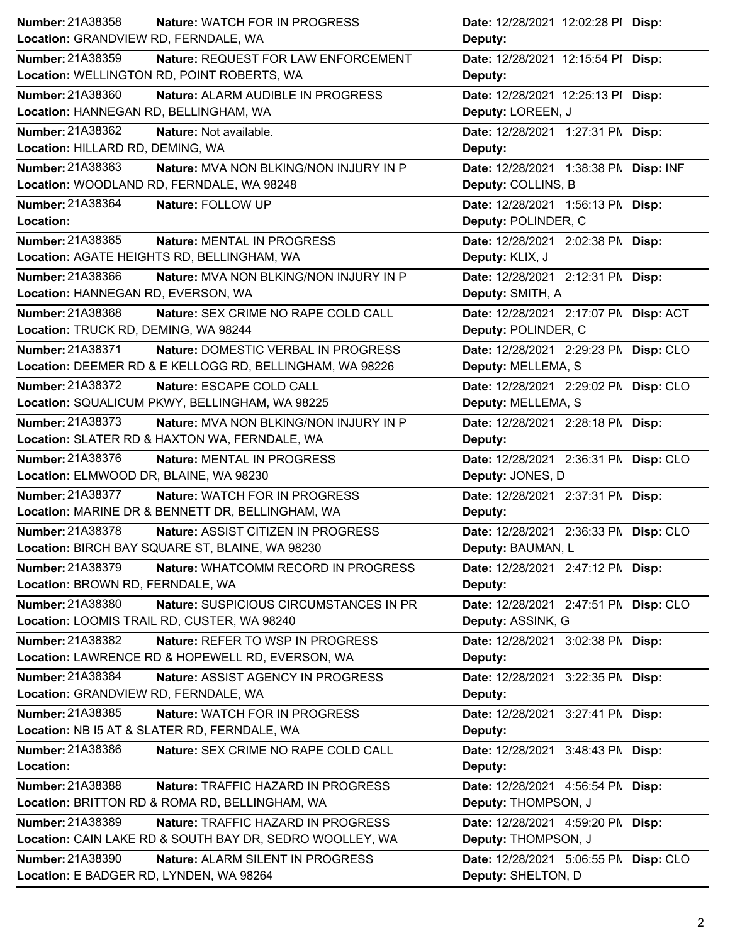| Number: 21A38358<br><b>Nature: WATCH FOR IN PROGRESS</b>          | Date: 12/28/2021 12:02:28 PI Disp:    |
|-------------------------------------------------------------------|---------------------------------------|
| Location: GRANDVIEW RD, FERNDALE, WA                              | Deputy:                               |
| <b>Number: 21A38359</b><br>Nature: REQUEST FOR LAW ENFORCEMENT    | Date: 12/28/2021 12:15:54 PI Disp:    |
| Location: WELLINGTON RD, POINT ROBERTS, WA                        | Deputy:                               |
| Number: 21A38360<br>Nature: ALARM AUDIBLE IN PROGRESS             | Date: 12/28/2021 12:25:13 PI Disp:    |
| Location: HANNEGAN RD, BELLINGHAM, WA                             | Deputy: LOREEN, J                     |
| Number: 21A38362<br><b>Nature: Not available.</b>                 | Date: 12/28/2021 1:27:31 PM Disp:     |
| Location: HILLARD RD, DEMING, WA                                  | Deputy:                               |
| Number: 21A38363<br>Nature: MVA NON BLKING/NON INJURY IN P        | Date: 12/28/2021 1:38:38 PM Disp: INF |
| Location: WOODLAND RD, FERNDALE, WA 98248                         | Deputy: COLLINS, B                    |
| Number: 21A38364<br>Nature: FOLLOW UP                             | Date: 12/28/2021 1:56:13 PM Disp:     |
| Location:                                                         | Deputy: POLINDER, C                   |
| Number: 21A38365<br><b>Nature: MENTAL IN PROGRESS</b>             | Date: 12/28/2021 2:02:38 PM Disp:     |
| Location: AGATE HEIGHTS RD, BELLINGHAM, WA                        | Deputy: KLIX, J                       |
| Number: 21A38366<br>Nature: MVA NON BLKING/NON INJURY IN P        | Date: 12/28/2021 2:12:31 PM Disp:     |
| Location: HANNEGAN RD, EVERSON, WA                                | Deputy: SMITH, A                      |
| <b>Number: 21A38368</b><br>Nature: SEX CRIME NO RAPE COLD CALL    | Date: 12/28/2021 2:17:07 PN Disp: ACT |
| Location: TRUCK RD, DEMING, WA 98244                              | Deputy: POLINDER, C                   |
| Number: 21A38371<br>Nature: DOMESTIC VERBAL IN PROGRESS           | Date: 12/28/2021 2:29:23 PN Disp: CLO |
| Location: DEEMER RD & E KELLOGG RD, BELLINGHAM, WA 98226          | Deputy: MELLEMA, S                    |
| Number: 21A38372<br>Nature: ESCAPE COLD CALL                      | Date: 12/28/2021 2:29:02 PN Disp: CLO |
| Location: SQUALICUM PKWY, BELLINGHAM, WA 98225                    | Deputy: MELLEMA, S                    |
| Number: 21A38373<br><b>Nature: MVA NON BLKING/NON INJURY IN P</b> | Date: 12/28/2021 2:28:18 PM Disp:     |
| Location: SLATER RD & HAXTON WA, FERNDALE, WA                     | Deputy:                               |
|                                                                   | Date: 12/28/2021 2:36:31 PM Disp: CLO |
| Number: 21A38376<br>Nature: MENTAL IN PROGRESS                    |                                       |
| Location: ELMWOOD DR, BLAINE, WA 98230                            | Deputy: JONES, D                      |
| Number: 21A38377<br>Nature: WATCH FOR IN PROGRESS                 | Date: 12/28/2021 2:37:31 PM Disp:     |
| Location: MARINE DR & BENNETT DR, BELLINGHAM, WA                  | Deputy:                               |
| <b>Number: 21A38378</b><br>Nature: ASSIST CITIZEN IN PROGRESS     | Date: 12/28/2021 2:36:33 PM Disp: CLO |
| Location: BIRCH BAY SQUARE ST, BLAINE, WA 98230                   | Deputy: BAUMAN, L                     |
| Number: 21A38379<br>Nature: WHATCOMM RECORD IN PROGRESS           | Date: 12/28/2021 2:47:12 PM Disp:     |
| Location: BROWN RD, FERNDALE, WA                                  | Deputy:                               |
| Number: 21A38380<br>Nature: SUSPICIOUS CIRCUMSTANCES IN PR        | Date: 12/28/2021 2:47:51 PM Disp: CLO |
| Location: LOOMIS TRAIL RD, CUSTER, WA 98240                       | Deputy: ASSINK, G                     |
| Number: 21A38382<br>Nature: REFER TO WSP IN PROGRESS              | Date: 12/28/2021 3:02:38 PM Disp:     |
| Location: LAWRENCE RD & HOPEWELL RD, EVERSON, WA                  | Deputy:                               |
| Number: 21A38384<br>Nature: ASSIST AGENCY IN PROGRESS             | Date: 12/28/2021 3:22:35 PM Disp:     |
| Location: GRANDVIEW RD, FERNDALE, WA                              | Deputy:                               |
| Number: 21A38385<br>Nature: WATCH FOR IN PROGRESS                 | Date: 12/28/2021 3:27:41 PM Disp:     |
| Location: NB I5 AT & SLATER RD, FERNDALE, WA                      | Deputy:                               |
| Number: 21A38386<br>Nature: SEX CRIME NO RAPE COLD CALL           | Date: 12/28/2021 3:48:43 PM Disp:     |
| Location:                                                         | Deputy:                               |
| Number: 21A38388<br>Nature: TRAFFIC HAZARD IN PROGRESS            | Date: 12/28/2021 4:56:54 PM Disp:     |
| Location: BRITTON RD & ROMA RD, BELLINGHAM, WA                    | Deputy: THOMPSON, J                   |
| Number: 21A38389<br>Nature: TRAFFIC HAZARD IN PROGRESS            | Date: 12/28/2021 4:59:20 PM Disp:     |
| Location: CAIN LAKE RD & SOUTH BAY DR, SEDRO WOOLLEY, WA          | Deputy: THOMPSON, J                   |
| Number: 21A38390<br>Nature: ALARM SILENT IN PROGRESS              | Date: 12/28/2021 5:06:55 PM Disp: CLO |